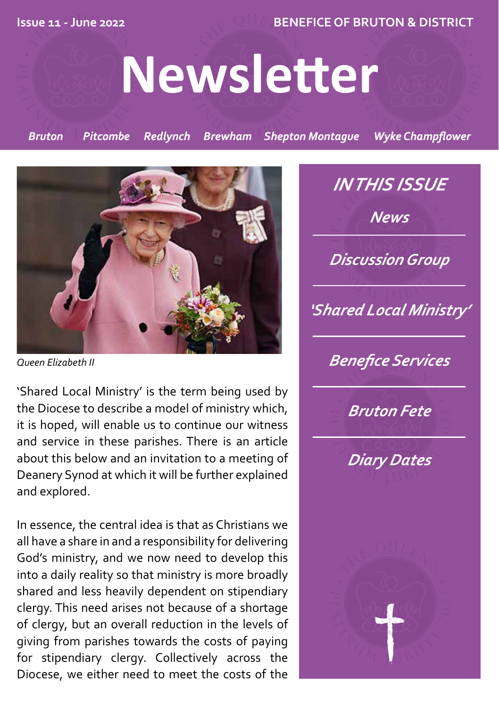**Issue 11 - June 2022 BENEFICE OF BRUTON & DISTRICT**

# **Newsletter**

*Bruton Pitcombe Redlynch Brewham Shepton Montague Wyke Champflower*



*Queen Elizabeth II*

'Shared Local Ministry' is the term being used by the Diocese to describe a model of ministry which, it is hoped, will enable us to continue our witness and service in these parishes. There is an article about this below and an invitation to a meeting of Deanery Synod at which it will be further explained and explored.

In essence, the central idea is that as Christians we all have a share in and a responsibility for delivering God's ministry, and we now need to develop this into a daily reality so that ministry is more broadly shared and less heavily dependent on stipendiary clergy. This need arises not because of a shortage of clergy, but an overall reduction in the levels of giving from parishes towards the costs of paying for stipendiary clergy. Collectively across the Diocese, we either need to meet the costs of the

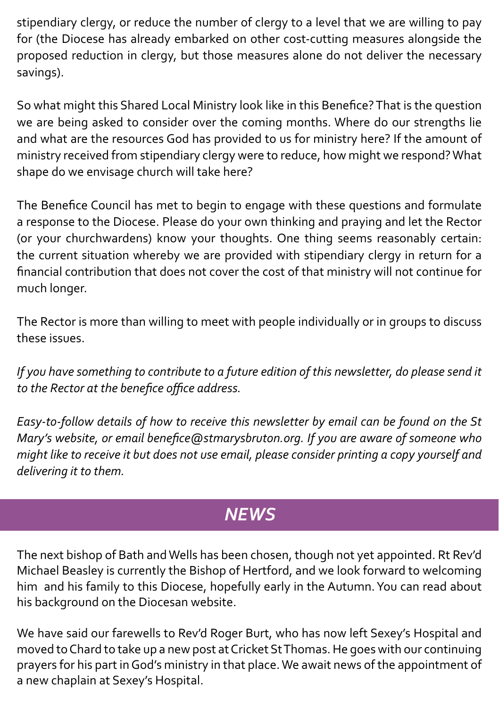stipendiary clergy, or reduce the number of clergy to a level that we are willing to pay for (the Diocese has already embarked on other cost-cutting measures alongside the proposed reduction in clergy, but those measures alone do not deliver the necessary savings).

So what might this Shared Local Ministry look like in this Benefice? That is the question we are being asked to consider over the coming months. Where do our strengths lie and what are the resources God has provided to us for ministry here? If the amount of ministry received from stipendiary clergy were to reduce, how might we respond? What shape do we envisage church will take here?

The Benefice Council has met to begin to engage with these questions and formulate a response to the Diocese. Please do your own thinking and praying and let the Rector (or your churchwardens) know your thoughts. One thing seems reasonably certain: the current situation whereby we are provided with stipendiary clergy in return for a financial contribution that does not cover the cost of that ministry will not continue for much longer.

The Rector is more than willing to meet with people individually or in groups to discuss these issues.

*If you have something to contribute to a future edition of this newsletter, do please send it to the Rector at the benefice office address.*

*Easy-to-follow details of how to receive this newsletter by email can be found on the St Mary's website, or email benefice@stmarysbruton.org. If you are aware of someone who might like to receive it but does not use email, please consider printing a copy yourself and delivering it to them.*

# *NEWS*

The next bishop of Bath and Wells has been chosen, though not yet appointed. Rt Rev'd Michael Beasley is currently the Bishop of Hertford, and we look forward to welcoming him and his family to this Diocese, hopefully early in the Autumn. You can read about his background on the Diocesan website.

We have said our farewells to Rev'd Roger Burt, who has now left Sexey's Hospital and moved to Chard to take up a new post at Cricket St Thomas. He goes with our continuing prayers for his part in God's ministry in that place. We await news of the appointment of a new chaplain at Sexey's Hospital.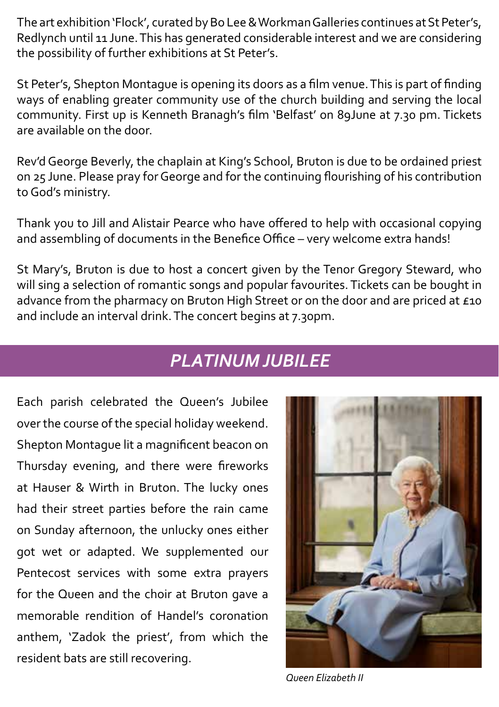The art exhibition 'Flock', curated by Bo Lee & Workman Galleries continues at St Peter's, Redlynch until 11 June. This has generated considerable interest and we are considering the possibility of further exhibitions at St Peter's.

St Peter's, Shepton Montague is opening its doors as a film venue. This is part of finding ways of enabling greater community use of the church building and serving the local community. First up is Kenneth Branagh's film 'Belfast' on 89June at 7.30 pm. Tickets are available on the door.

Rev'd George Beverly, the chaplain at King's School, Bruton is due to be ordained priest on 25 June. Please pray for George and for the continuing flourishing of his contribution to God's ministry.

Thank you to Jill and Alistair Pearce who have offered to help with occasional copying and assembling of documents in the Benefice Office – very welcome extra hands!

St Mary's, Bruton is due to host a concert given by the Tenor Gregory Steward, who will sing a selection of romantic songs and popular favourites. Tickets can be bought in advance from the pharmacy on Bruton High Street or on the door and are priced at £10 and include an interval drink. The concert begins at 7.30pm.

#### *PLATINUM JUBILEE*

Each parish celebrated the Queen's Jubilee over the course of the special holiday weekend. Shepton Montague lit a magnificent beacon on Thursday evening, and there were fireworks at Hauser & Wirth in Bruton. The lucky ones had their street parties before the rain came on Sunday afternoon, the unlucky ones either got wet or adapted. We supplemented our Pentecost services with some extra prayers for the Queen and the choir at Bruton gave a memorable rendition of Handel's coronation anthem, 'Zadok the priest', from which the resident bats are still recovering.



*Queen Elizabeth II*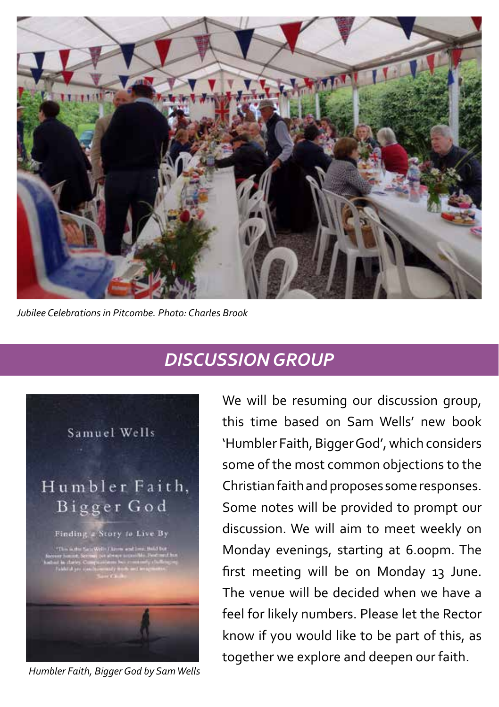

*Jubilee Celebrations in Pitcombe. Photo: Charles Brook*

### *DISCUSSION GROUP*



*Humbler Faith, Bigger God by Sam Wells*

We will be resuming our discussion group, this time based on Sam Wells' new book 'Humbler Faith, Bigger God', which considers some of the most common objections to the Christian faith and proposes some responses. Some notes will be provided to prompt our discussion. We will aim to meet weekly on Monday evenings, starting at 6.00pm. The first meeting will be on Monday 13 June. The venue will be decided when we have a feel for likely numbers. Please let the Rector know if you would like to be part of this, as together we explore and deepen our faith.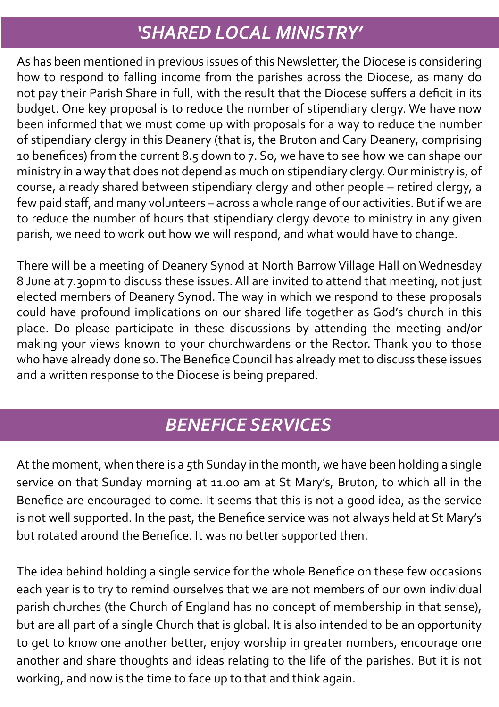## *'SHARED LOCAL MINISTRY'*

As has been mentioned in previous issues of this Newsletter, the Diocese is considering how to respond to falling income from the parishes across the Diocese, as many do not pay their Parish Share in full, with the result that the Diocese suffers a deficit in its budget. One key proposal is to reduce the number of stipendiary clergy. We have now been informed that we must come up with proposals for a way to reduce the number of stipendiary clergy in this Deanery (that is, the Bruton and Cary Deanery, comprising 10 benefices) from the current 8.5 down to 7. So, we have to see how we can shape our ministry in a way that does not depend as much on stipendiary clergy. Our ministry is, of course, already shared between stipendiary clergy and other people – retired clergy, a few paid staff, and many volunteers – across a whole range of our activities. But if we are to reduce the number of hours that stipendiary clergy devote to ministry in any given parish, we need to work out how we will respond, and what would have to change.

There will be a meeting of Deanery Synod at North Barrow Village Hall on Wednesday 8 June at 7.30pm to discuss these issues. All are invited to attend that meeting, not just elected members of Deanery Synod. The way in which we respond to these proposals could have profound implications on our shared life together as God's church in this place. Do please participate in these discussions by attending the meeting and/or making your views known to your churchwardens or the Rector. Thank you to those who have already done so. The Benefice Council has already met to discuss these issues and a written response to the Diocese is being prepared.

## *BENEFICE SERVICES*

At the moment, when there is a 5th Sunday in the month, we have been holding a single service on that Sunday morning at 11.00 am at St Mary's, Bruton, to which all in the Benefice are encouraged to come. It seems that this is not a good idea, as the service is not well supported. In the past, the Benefice service was not always held at St Mary's but rotated around the Benefice. It was no better supported then.

The idea behind holding a single service for the whole Benefice on these few occasions each year is to try to remind ourselves that we are not members of our own individual parish churches (the Church of England has no concept of membership in that sense), but are all part of a single Church that is global. It is also intended to be an opportunity to get to know one another better, enjoy worship in greater numbers, encourage one another and share thoughts and ideas relating to the life of the parishes. But it is not working, and now is the time to face up to that and think again.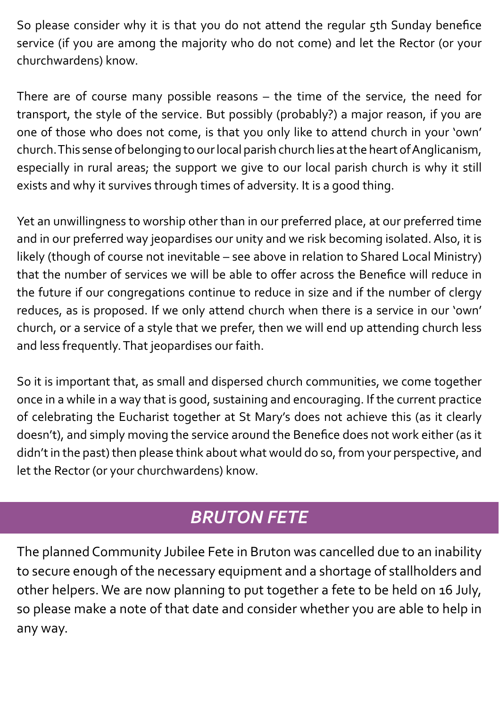So please consider why it is that you do not attend the regular 5th Sunday benefice service (if you are among the majority who do not come) and let the Rector (or your churchwardens) know.

There are of course many possible reasons – the time of the service, the need for transport, the style of the service. But possibly (probably?) a major reason, if you are one of those who does not come, is that you only like to attend church in your 'own' church. This sense of belonging to our local parish church lies at the heart of Anglicanism, especially in rural areas; the support we give to our local parish church is why it still exists and why it survives through times of adversity. It is a good thing.

Yet an unwillingness to worship other than in our preferred place, at our preferred time and in our preferred way jeopardises our unity and we risk becoming isolated. Also, it is likely (though of course not inevitable – see above in relation to Shared Local Ministry) that the number of services we will be able to offer across the Benefice will reduce in the future if our congregations continue to reduce in size and if the number of clergy reduces, as is proposed. If we only attend church when there is a service in our 'own' church, or a service of a style that we prefer, then we will end up attending church less and less frequently. That jeopardises our faith.

So it is important that, as small and dispersed church communities, we come together once in a while in a way that is good, sustaining and encouraging. If the current practice of celebrating the Eucharist together at St Mary's does not achieve this (as it clearly doesn't), and simply moving the service around the Benefice does not work either (as it didn't in the past) then please think about what would do so, from your perspective, and let the Rector (or your churchwardens) know.

# *BRUTON FETE*

The planned Community Jubilee Fete in Bruton was cancelled due to an inability to secure enough of the necessary equipment and a shortage of stallholders and other helpers. We are now planning to put together a fete to be held on 16 July, so please make a note of that date and consider whether you are able to help in any way.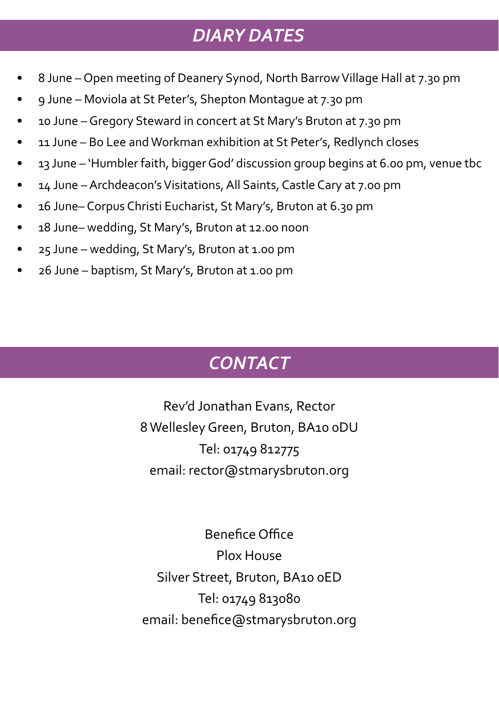### *DIARY DATES*

- 8 June Open meeting of Deanery Synod, North Barrow Village Hall at 7.30 pm
- 9 June Moviola at St Peter's, Shepton Montague at 7.30 pm
- 10 June Gregory Steward in concert at St Mary's Bruton at 7.30 pm
- 11 June Bo Lee and Workman exhibition at St Peter's, Redlynch closes
- 13 June 'Humbler faith, bigger God' discussion group begins at 6.00 pm, venue tbc
- 14 June Archdeacon's Visitations, All Saints, Castle Cary at 7.00 pm
- 16 June– Corpus Christi Eucharist, St Mary's, Bruton at 6.30 pm
- 18 June– wedding, St Mary's, Bruton at 12.00 noon
- 25 June wedding, St Mary's, Bruton at 1.00 pm
- 26 June baptism, St Mary's, Bruton at 1.00 pm

# *CONTACT*

Rev'd Jonathan Evans, Rector 8 Wellesley Green, Bruton, BA10 0DU Tel: 01749 812775 email: rector@stmarysbruton.org

Benefice Office Plox House Silver Street, Bruton, BA10 0ED Tel: 01749 813080 email: benefice@stmarysbruton.org